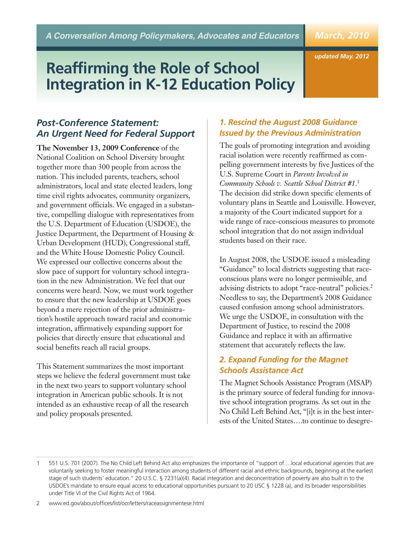# *March, 2010*

*updated May. 2012*

# **Reaffirming the Role of School Integration in K-12 Education Policy**

# *Post-Conference Statement: An Urgent Need for Federal Support*

**The November 13, 2009 Conference** of the National Coalition on School Diversity brought together more than 300 people from across the nation. This included parents, teachers, school administrators, local and state elected leaders, long time civil rights advocates, community organizers, and government officials. We engaged in a substantive, compelling dialogue with representatives from the U.S. Department of Education (USDOE), the Justice Department, the Department of Housing & Urban Development (HUD), Congressional staff, and the White House Domestic Policy Council. We expressed our collective concerns about the slow pace of support for voluntary school integration in the new Administration. We feel that our concerns were heard. Now, we must work together to ensure that the new leadership at USDOE goes beyond a mere rejection of the prior administration's hostile approach toward racial and economic integration, affirmatively expanding support for policies that directly ensure that educational and social benefits reach all racial groups.

This Statement summarizes the most important steps we believe the federal government must take in the next two years to support voluntary school integration in American public schools. It is not intended as an exhaustive recap of all the research and policy proposals presented.

# *1. Rescind the August 2008 Guidance Issued by the Previous Administration*

The goals of promoting integration and avoiding racial isolation were recently reaffirmed as compelling government interests by five Justices of the U.S. Supreme Court in *Parents Involved in Community Schools v. Seattle School District #1*. 1 The decision did strike down specific elements of voluntary plans in Seattle and Louisville. However, a majority of the Court indicated support for a wide range of race-conscious measures to promote school integration that do not assign individual students based on their race.

In August 2008, the USDOE issued a misleading "Guidance" to local districts suggesting that raceconscious plans were no longer permissible, and advising districts to adopt "race-neutral" policies. 2 Needless to say, the Department's 2008 Guidance caused confusion among school administrators. We urge the USDOE, in consultation with the Department of Justice, to rescind the 2008 Guidance and replace it with an affirmative statement that accurately reflects the law.

#### *2. Expand Funding for the Magnet Schools Assistance Act*

The Magnet Schools Assistance Program (MSAP) is the primary source of federal funding for innovative school integration programs. As set out in the No Child Left Behind Act, "[i]t is in the best interests of the United States….to continue to desegre-

2 www.ed.gov/about/offices/list/ocr/letters/raceassignmentese.html

<sup>1</sup> 551 U.S. 701 (2007). The No Child Left Behind Act also emphasizes the importance of "support of….local educational agencies that are voluntarily seeking to foster meaningful interaction among students of different racial and ethnic backgrounds, beginning at the earliest stage of such students' education." 20 U.S.C. § 7231(a)(4). Racial integration and deconcentration of poverty are also built in to the USDOE's mandate to ensure equal access to educational opportunities pursuant to 20 USC § 1228 (a), and its broader responsibilities under Title VI of the Civil Rights Act of 1964.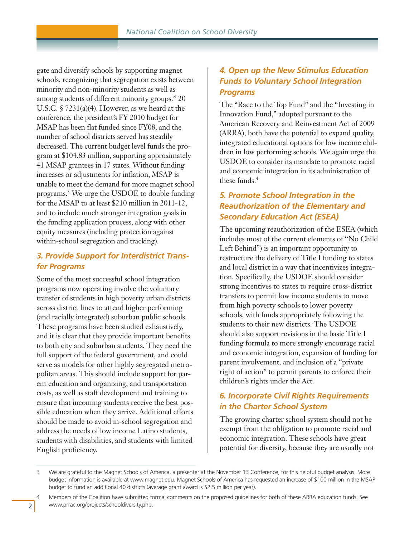gate and diversify schools by supporting magnet schools, recognizing that segregation exists between minority and non-minority students as well as among students of different minority groups." 20 U.S.C. § 7231(a)(4). However, as we heard at the conference, the president's FY 2010 budget for MSAP has been flat funded since FY08, and the number of school districts served has steadily decreased. The current budget level funds the program at \$104.83 million, supporting approximately 41 MSAP grantees in 17 states. Without funding increases or adjustments for inflation, MSAP is unable to meet the demand for more magnet school programs. <sup>3</sup> We urge the USDOE to double funding for the MSAP to at least \$210 million in 2011-12, and to include much stronger integration goals in the funding application process, along with other equity measures (including protection against within-school segregation and tracking).

## *3. Provide Support for Interdistrict Transfer Programs*

Some of the most successful school integration programs now operating involve the voluntary transfer of students in high poverty urban districts across district lines to attend higher performing (and racially integrated) suburban public schools. These programs have been studied exhaustively, and it is clear that they provide important benefits to both city and suburban students. They need the full support of the federal government, and could serve as models for other highly segregated metropolitan areas. This should include support for parent education and organizing, and transportation costs, as well as staff development and training to ensure that incoming students receive the best possible education when they arrive. Additional efforts should be made to avoid in-school segregation and address the needs of low income Latino students, students with disabilities, and students with limited English proficiency.

#### *4. Open up the New Stimulus Education Funds to Voluntary School Integration Programs*

The "Race to the Top Fund" and the "Investing in Innovation Fund," adopted pursuant to the American Recovery and Reinvestment Act of 2009 (ARRA), both have the potential to expand quality, integrated educational options for low income children in low performing schools. We again urge the USDOE to consider its mandate to promote racial and economic integration in its administration of these funds. 4

## *5. Promote School Integration in the Reauthorization of the Elementary and Secondary Education Act (ESEA)*

The upcoming reauthorization of the ESEA (which includes most of the current elements of "No Child Left Behind") is an important opportunity to restructure the delivery of Title I funding to states and local district in a way that incentivizes integration. Specifically, the USDOE should consider strong incentives to states to require cross-district transfers to permit low income students to move from high poverty schools to lower poverty schools, with funds appropriately following the students to their new districts. The USDOE should also support revisions in the basic Title I funding formula to more strongly encourage racial and economic integration, expansion of funding for parent involvement, and inclusion of a "private right of action" to permit parents to enforce their children's rights under the Act.

## *6. Incorporate Civil Rights Requirements in the Charter School System*

The growing charter school system should not be exempt from the obligation to promote racial and economic integration. These schools have great potential for diversity, because they are usually not

<sup>3</sup> We are grateful to the Magnet Schools of America, a presenter at the November 13 Conference, for this helpful budget analysis. More budget information is available at www.magnet.edu. Magnet Schools of America has requested an increase of \$100 million in the MSAP budget to fund an additional 40 districts (average grant award is \$2.5 million per year).

<sup>4</sup> Members of the Coalition have submitted formal comments on the proposed guidelines for both of these ARRA education funds. See www.prrac.org/projects/schooldiversity.php.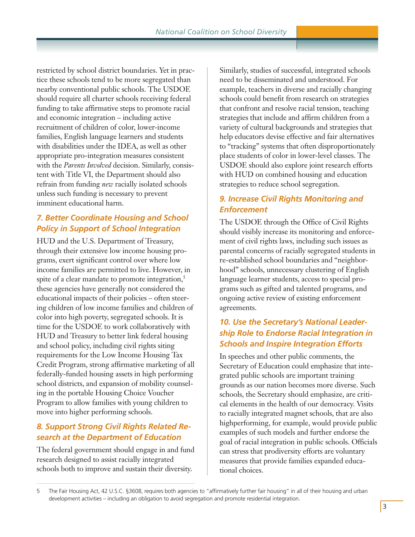restricted by school district boundaries. Yet in practice these schools tend to be more segregated than nearby conventional public schools. The USDOE should require all charter schools receiving federal funding to take affirmative steps to promote racial and economic integration – including active recruitment of children of color, lower-income families, English language learners and students with disabilities under the IDEA, as well as other appropriate pro-integration measures consistent with the *Parents Involved* decision. Similarly, consistent with Title VI, the Department should also refrain from funding *new* racially isolated schools unless such funding is necessary to prevent imminent educational harm.

## *7. Better Coordinate Housing and School Policy in Support of School Integration*

HUD and the U.S. Department of Treasury, through their extensive low income housing programs, exert significant control over where low income families are permitted to live. However, in spite of a clear mandate to promote integration,<sup>5</sup> these agencies have generally not considered the educational impacts of their policies – often steering children of low income families and children of color into high poverty, segregated schools. It is time for the USDOE to work collaboratively with HUD and Treasury to better link federal housing and school policy, including civil rights siting requirements for the Low Income Housing Tax Credit Program, strong affirmative marketing of all federally-funded housing assets in high performing school districts, and expansion of mobility counseling in the portable Housing Choice Voucher Program to allow families with young children to move into higher performing schools.

# *8. Support Strong Civil Rights Related Research at the Department of Education*

The federal government should engage in and fund research designed to assist racially integrated schools both to improve and sustain their diversity.

Similarly, studies of successful, integrated schools need to be disseminated and understood. For example, teachers in diverse and racially changing schools could benefit from research on strategies that confront and resolve racial tension, teaching strategies that include and affirm children from a variety of cultural backgrounds and strategies that help educators devise effective and fair alternatives to "tracking" systems that often disproportionately place students of color in lower-level classes. The USDOE should also explore joint research efforts with HUD on combined housing and education strategies to reduce school segregation.

# *9. Increase Civil Rights Monitoring and Enforcement*

The USDOE through the Office of Civil Rights should visibly increase its monitoring and enforcement of civil rights laws, including such issues as parental concerns of racially segregated students in re-established school boundaries and "neighborhood" schools, unnecessary clustering of English language learner students, access to special programs such as gifted and talented programs, and ongoing active review of existing enforcement agreements.

# *10. Use the Secretary's National Leadership Role to Endorse Racial Integration in Schools and Inspire Integration Efforts*

In speeches and other public comments, the Secretary of Education could emphasize that integrated public schools are important training grounds as our nation becomes more diverse. Such schools, the Secretary should emphasize, are critical elements in the health of our democracy. Visits to racially integrated magnet schools, that are also highperforming, for example, would provide public examples of such models and further endorse the goal of racial integration in public schools. Officials can stress that prodiversity efforts are voluntary measures that provide families expanded educational choices.

<sup>5</sup> The Fair Housing Act, 42 U.S.C. §3608, requires both agencies to "affirmatively further fair housing" in all of their housing and urban development activities – including an obligation to avoid segregation and promote residential integration.